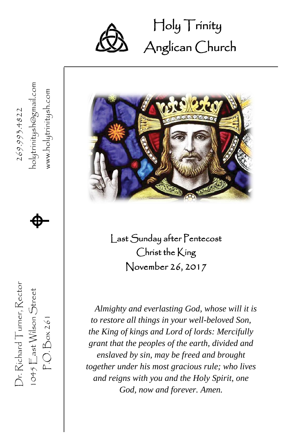

### Holy Trinity Ĩ Anglican Church



Last Sunday after Pentecost Christ the King November 26, 2017

*Almighty and everlasting God, whose will it is to restore all things in your well-beloved Son, the King of kings and Lord of lords: Mercifully grant that the peoples of the earth, divided and enslaved by sin, may be freed and brought together under his most gracious rule; who lives and reigns with you and the Holy Spirit, one God, now and forever. Amen.*

www.holytrinitysh.com 269.993.4822



1045  $\mathsf{E}$ ast Wilson Street  $\bigoplus$ P.O. Box 261 www.holytrinitysh.com Dr. Richard Turner, Rector  $269.993.4822$ Dr. Richard Turner, Rector  $1045$   $E$  ast Wilson Street  $P.O.Box261$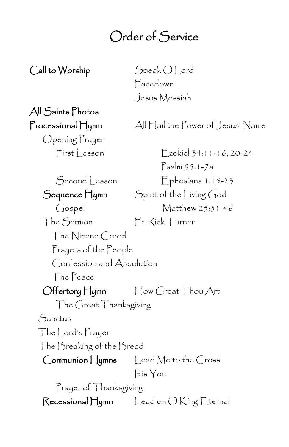### Order of Service

Call to Worship Speak O Lord

Facedown Jesus Messiah

# All Saints Photos

Opening Prayer First Lesson Ezekiel 34:11-16, 20-24

Processional Hymn All Hail the Power of Jesus' Name

Psalm 95:1-7a Second Lesson Ephesians 1:15-23 Sequence Hymn Spirit of the Living God Gospel Matthew 25:31-46 The Sermon Fr. Rick Turner The Nicene Creed Prayers of the People Confession and Absolution The Peace Offertory Hymn How Great Thou Art The Great Thanksgiving Sanctus The Lord's Prayer The Breaking of the Bread Communion Hymns Lead Me to the Cross It is You Prayer of Thanksgiving  $\mathsf{Recessional}\,\mathsf{H}$ ymn Lead on  $\bigcirc$  King Eternal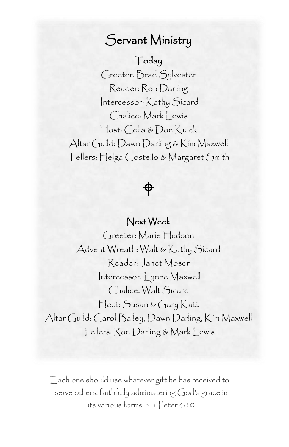### Servant Ministry

#### Today

 Reader: Ron Darling Greeter: Brad Sylvester Intercessor: Kathy Sicard Chalice: Mark | ewis Host: Celia & Don Kuick Altar Guild: Dawn Darling & Kim Maxwell Tellers: Helga Costello & Margaret Smith

### ⊕

#### Next Week

Greeter: Marie Hudson Advent Wreath: Walt & Kathy Sicard Reader: Janet Moser Intercessor: Lynne Maxwell Chalice: Walt Sicard Host: Susan & Gary Katt Altar Guild: Carol Bailey, Dawn Darling, Kim Maxwell Tellers: Ron Darling & Mark Lewis

Each one should use whatever gift he has received to serve others, faithfully administering God's grace in its various forms. ~ 1 Peter 4:10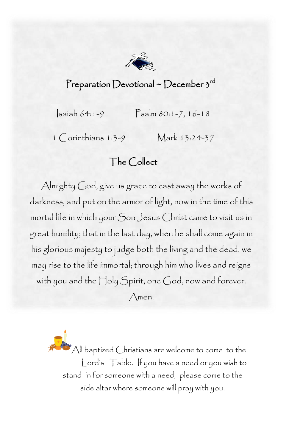

### Preparation Devotional ~ December  $\mathfrak{z}^{\mathsf{rd}}$

Isaiah 64:1-9 Psalm 80:1-7, 16-18

1 Corinthians 1:3-9 Mark 13:24-37

### The Collect

 Almighty God, give us grace to cast away the works of ľ mortal life in which your Son Jesus Christ came to visit us in great humility; that in the last day, when he shall come again in his glorious majesty to judge both the living and the dead, we<br>may rise to the life immortal: through him who lives and reigns with you and the Holy Spirit, one God, now and forever.<br>Amen. darkness, and put on the armor of light, now in the time of this may rise to the life immortal; through him who lives and reigns

Amen.

All baptized Christians are welcome to come to the Lord's Table. If you have a need or you wish to stand in for someone with a need, please come to the side altar where someone will pray with you.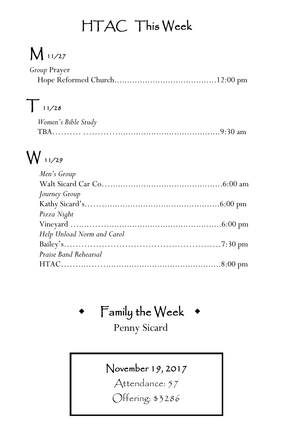## HTAC This Week

## M 11/27

| Group Prayer |  |
|--------------|--|
|              |  |

## $T_{11/28}$

| Women's Bible Study |  |
|---------------------|--|
|                     |  |

## $W_{11/29}$

| Men's Group                |  |
|----------------------------|--|
|                            |  |
| Journey Group              |  |
|                            |  |
| Pizza Night                |  |
|                            |  |
| Help Unload Norm and Carol |  |
|                            |  |
| Praise Band Rehearsal      |  |
|                            |  |
|                            |  |

Family the Week

### Penny Sicard

### November 19, 2017

Attendance: 57

Offering: \$3286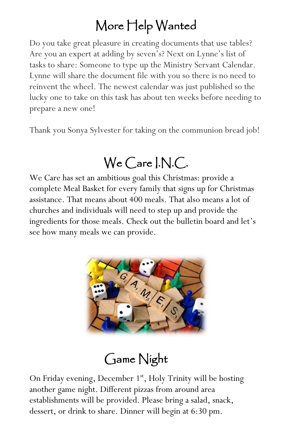## More Help Wanted

Do you take great pleasure in creating documents that use tables? Are you an expert at adding by seven's? Next on Lynne's list of tasks to share: Someone to type up the Ministry Servant Calendar. Lynne will share the document file with you so there is no need to reinvent the wheel. The newest calendar was just published so the lucky one to take on this task has about ten weeks before needing to prepare a new one!

Thank you Sonya Sylvester for taking on the communion bread job!

## We Care I.N.C.

We Care has set an ambitious goal this Christmas: provide a complete Meal Basket for every family that signs up for Christmas assistance. That means about 400 meals. That also means a lot of churches and individuals will need to step up and provide the ingredients for those meals. Check out the bulletin board and let's see how many meals we can provide.



## Game Night

On Friday evening, December 1<sup>st</sup>, Holy Trinity will be hosting another game night. Different pizzas from around area establishments will be provided. Please bring a salad, snack, dessert, or drink to share. Dinner will begin at 6:30 pm.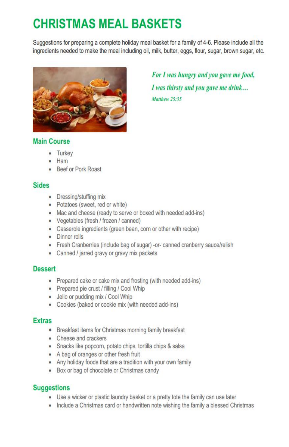### **CHRISTMAS MEAL BASKETS**

Suggestions for preparing a complete holiday meal basket for a family of 4-6. Please include all the ingredients needed to make the meal including oil, milk, butter, eggs, flour, sugar, brown sugar, etc.



#### For I was hungry and you gave me food, I was thirsty and you gave me drink... Matthew 25:35

#### **Main Course**

- Turkey
- Ham
- Beef or Pork Roast

#### **Sides**

- Dressing/stuffing mix
- Potatoes (sweet, red or white)
- Mac and cheese (ready to serve or boxed with needed add-ins)
- Vegetables (fresh / frozen / canned)
- Casserole ingredients (green bean, corn or other with recipe)
- Dinner rolls
- Fresh Cranberries (include bag of sugar) -or- canned cranberry sauce/relish
- Canned / jarred gravy or gravy mix packets

#### **Dessert**

- Prepared cake or cake mix and frosting (with needed add-ins)
- Prepared pie crust / filling / Cool Whip
- Jello or pudding mix / Cool Whip
- Cookies (baked or cookie mix (with needed add-ins)

#### **Extras**

- Breakfast items for Christmas morning family breakfast
- Cheese and crackers
- · Snacks like popcorn, potato chips, tortilla chips & salsa
- A bag of oranges or other fresh fruit
- Any holiday foods that are a tradition with your own family
- Box or bag of chocolate or Christmas candy

#### **Suggestions**

- Use a wicker or plastic laundry basket or a pretty tote the family can use later
- Include a Christmas card or handwritten note wishing the family a blessed Christmas